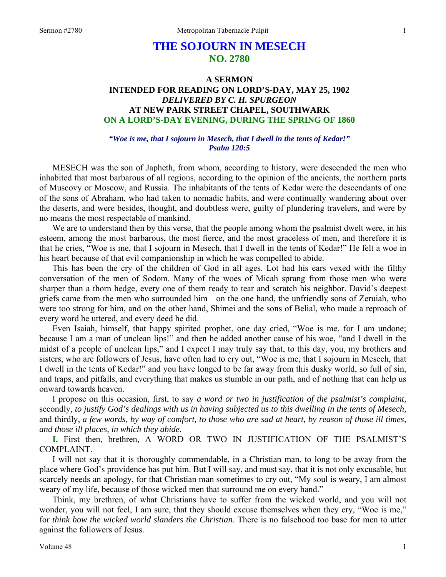# **THE SOJOURN IN MESECH NO. 2780**

## **A SERMON INTENDED FOR READING ON LORD'S-DAY, MAY 25, 1902**  *DELIVERED BY C. H. SPURGEON*  **AT NEW PARK STREET CHAPEL, SOUTHWARK ON A LORD'S-DAY EVENING, DURING THE SPRING OF 1860**

#### *"Woe is me, that I sojourn in Mesech, that I dwell in the tents of Kedar!" Psalm 120:5*

MESECH was the son of Japheth, from whom, according to history, were descended the men who inhabited that most barbarous of all regions, according to the opinion of the ancients, the northern parts of Muscovy or Moscow, and Russia. The inhabitants of the tents of Kedar were the descendants of one of the sons of Abraham, who had taken to nomadic habits, and were continually wandering about over the deserts, and were besides, thought, and doubtless were, guilty of plundering travelers, and were by no means the most respectable of mankind.

We are to understand then by this verse, that the people among whom the psalmist dwelt were, in his esteem, among the most barbarous, the most fierce, and the most graceless of men, and therefore it is that he cries, "Woe is me, that I sojourn in Mesech, that I dwell in the tents of Kedar!" He felt a woe in his heart because of that evil companionship in which he was compelled to abide.

This has been the cry of the children of God in all ages. Lot had his ears vexed with the filthy conversation of the men of Sodom. Many of the woes of Micah sprang from those men who were sharper than a thorn hedge, every one of them ready to tear and scratch his neighbor. David's deepest griefs came from the men who surrounded him—on the one hand, the unfriendly sons of Zeruiah, who were too strong for him, and on the other hand, Shimei and the sons of Belial, who made a reproach of every word he uttered, and every deed he did.

Even Isaiah, himself, that happy spirited prophet, one day cried, "Woe is me, for I am undone; because I am a man of unclean lips!" and then he added another cause of his woe, "and I dwell in the midst of a people of unclean lips," and I expect I may truly say that, to this day, you, my brothers and sisters, who are followers of Jesus, have often had to cry out, "Woe is me, that I sojourn in Mesech, that I dwell in the tents of Kedar!" and you have longed to be far away from this dusky world, so full of sin, and traps, and pitfalls, and everything that makes us stumble in our path, and of nothing that can help us onward towards heaven.

I propose on this occasion, first, to say *a word or two in justification of the psalmist's complaint,* secondly, *to justify God's dealings with us in having subjected us to this dwelling in the tents of Mesech,*  and thirdly, *a few words, by way of comfort, to those who are sad at heart, by reason of those ill times, and those ill places, in which they abide*.

**I.** First then, brethren, A WORD OR TWO IN JUSTIFICATION OF THE PSALMIST'S COMPLAINT.

I will not say that it is thoroughly commendable, in a Christian man, to long to be away from the place where God's providence has put him. But I will say, and must say, that it is not only excusable, but scarcely needs an apology, for that Christian man sometimes to cry out, "My soul is weary, I am almost weary of my life, because of those wicked men that surround me on every hand."

Think, my brethren, of what Christians have to suffer from the wicked world, and you will not wonder, you will not feel, I am sure, that they should excuse themselves when they cry, "Woe is me," for *think how the wicked world slanders the Christian*. There is no falsehood too base for men to utter against the followers of Jesus.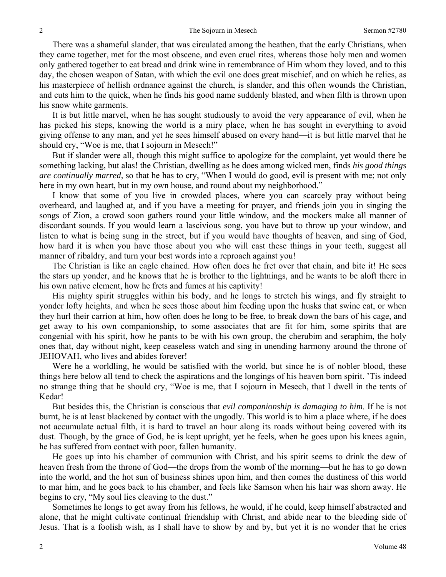There was a shameful slander, that was circulated among the heathen, that the early Christians, when they came together, met for the most obscene, and even cruel rites, whereas those holy men and women only gathered together to eat bread and drink wine in remembrance of Him whom they loved, and to this day, the chosen weapon of Satan, with which the evil one does great mischief, and on which he relies, as his masterpiece of hellish ordnance against the church, is slander, and this often wounds the Christian, and cuts him to the quick, when he finds his good name suddenly blasted, and when filth is thrown upon his snow white garments.

It is but little marvel, when he has sought studiously to avoid the very appearance of evil, when he has picked his steps, knowing the world is a miry place, when he has sought in everything to avoid giving offense to any man, and yet he sees himself abused on every hand—it is but little marvel that he should cry, "Woe is me, that I sojourn in Mesech!"

But if slander were all, though this might suffice to apologize for the complaint, yet would there be something lacking, but alas! the Christian, dwelling as he does among wicked men, finds *his good things are continually marred,* so that he has to cry, "When I would do good, evil is present with me; not only here in my own heart, but in my own house, and round about my neighborhood."

I know that some of you live in crowded places, where you can scarcely pray without being overheard, and laughed at, and if you have a meeting for prayer, and friends join you in singing the songs of Zion, a crowd soon gathers round your little window, and the mockers make all manner of discordant sounds. If you would learn a lascivious song, you have but to throw up your window, and listen to what is being sung in the street, but if you would have thoughts of heaven, and sing of God, how hard it is when you have those about you who will cast these things in your teeth, suggest all manner of ribaldry, and turn your best words into a reproach against you!

The Christian is like an eagle chained. How often does he fret over that chain, and bite it! He sees the stars up yonder, and he knows that he is brother to the lightnings, and he wants to be aloft there in his own native element, how he frets and fumes at his captivity!

His mighty spirit struggles within his body, and he longs to stretch his wings, and fly straight to yonder lofty heights, and when he sees those about him feeding upon the husks that swine eat, or when they hurl their carrion at him, how often does he long to be free, to break down the bars of his cage, and get away to his own companionship, to some associates that are fit for him, some spirits that are congenial with his spirit, how he pants to be with his own group, the cherubim and seraphim, the holy ones that, day without night, keep ceaseless watch and sing in unending harmony around the throne of JEHOVAH, who lives and abides forever!

Were he a worldling, he would be satisfied with the world, but since he is of nobler blood, these things here below all tend to check the aspirations and the longings of his heaven born spirit. 'Tis indeed no strange thing that he should cry, "Woe is me, that I sojourn in Mesech, that I dwell in the tents of Kedar!

But besides this, the Christian is conscious that *evil companionship is damaging to him*. If he is not burnt, he is at least blackened by contact with the ungodly. This world is to him a place where, if he does not accumulate actual filth, it is hard to travel an hour along its roads without being covered with its dust. Though, by the grace of God, he is kept upright, yet he feels, when he goes upon his knees again, he has suffered from contact with poor, fallen humanity.

He goes up into his chamber of communion with Christ, and his spirit seems to drink the dew of heaven fresh from the throne of God—the drops from the womb of the morning—but he has to go down into the world, and the hot sun of business shines upon him, and then comes the dustiness of this world to mar him, and he goes back to his chamber, and feels like Samson when his hair was shorn away. He begins to cry, "My soul lies cleaving to the dust."

Sometimes he longs to get away from his fellows, he would, if he could, keep himself abstracted and alone, that he might cultivate continual friendship with Christ, and abide near to the bleeding side of Jesus. That is a foolish wish, as I shall have to show by and by, but yet it is no wonder that he cries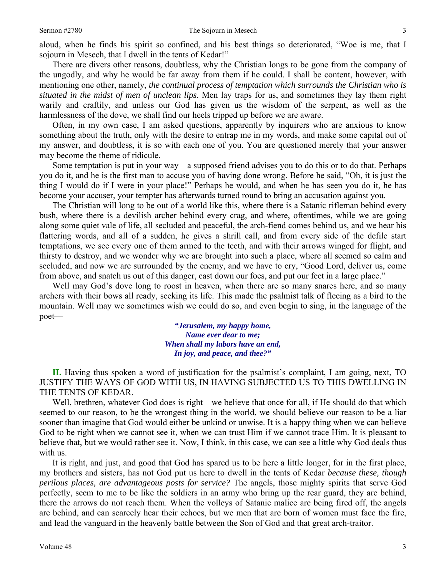There are divers other reasons, doubtless, why the Christian longs to be gone from the company of the ungodly, and why he would be far away from them if he could. I shall be content, however, with mentioning one other, namely, *the continual process of temptation which surrounds the Christian who is situated in the midst of men of unclean lips*. Men lay traps for us, and sometimes they lay them right warily and craftily, and unless our God has given us the wisdom of the serpent, as well as the harmlessness of the dove, we shall find our heels tripped up before we are aware.

Often, in my own case, I am asked questions, apparently by inquirers who are anxious to know something about the truth, only with the desire to entrap me in my words, and make some capital out of my answer, and doubtless, it is so with each one of you. You are questioned merely that your answer may become the theme of ridicule.

Some temptation is put in your way—a supposed friend advises you to do this or to do that. Perhaps you do it, and he is the first man to accuse you of having done wrong. Before he said, "Oh, it is just the thing I would do if I were in your place!" Perhaps he would, and when he has seen you do it, he has become your accuser, your tempter has afterwards turned round to bring an accusation against you.

The Christian will long to be out of a world like this, where there is a Satanic rifleman behind every bush, where there is a devilish archer behind every crag, and where, oftentimes, while we are going along some quiet vale of life, all secluded and peaceful, the arch-fiend comes behind us, and we hear his flattering words, and all of a sudden, he gives a shrill call, and from every side of the defile start temptations, we see every one of them armed to the teeth, and with their arrows winged for flight, and thirsty to destroy, and we wonder why we are brought into such a place, where all seemed so calm and secluded, and now we are surrounded by the enemy, and we have to cry, "Good Lord, deliver us, come from above, and snatch us out of this danger, cast down our foes, and put our feet in a large place."

Well may God's dove long to roost in heaven, when there are so many snares here, and so many archers with their bows all ready, seeking its life. This made the psalmist talk of fleeing as a bird to the mountain. Well may we sometimes wish we could do so, and even begin to sing, in the language of the poet—

> *"Jerusalem, my happy home, Name ever dear to me; When shall my labors have an end, In joy, and peace, and thee?"*

**II.** Having thus spoken a word of justification for the psalmist's complaint, I am going, next, TO JUSTIFY THE WAYS OF GOD WITH US, IN HAVING SUBJECTED US TO THIS DWELLING IN THE TENTS OF KEDAR.

Well, brethren, whatever God does is right—we believe that once for all, if He should do that which seemed to our reason, to be the wrongest thing in the world, we should believe our reason to be a liar sooner than imagine that God would either be unkind or unwise. It is a happy thing when we can believe God to be right when we cannot see it, when we can trust Him if we cannot trace Him. It is pleasant to believe that, but we would rather see it. Now, I think, in this case, we can see a little why God deals thus with us.

It is right, and just, and good that God has spared us to be here a little longer, for in the first place, my brothers and sisters, has not God put us here to dwell in the tents of Kedar *because these, though perilous places, are advantageous posts for service?* The angels, those mighty spirits that serve God perfectly, seem to me to be like the soldiers in an army who bring up the rear guard, they are behind, there the arrows do not reach them. When the volleys of Satanic malice are being fired off, the angels are behind, and can scarcely hear their echoes, but we men that are born of women must face the fire, and lead the vanguard in the heavenly battle between the Son of God and that great arch-traitor.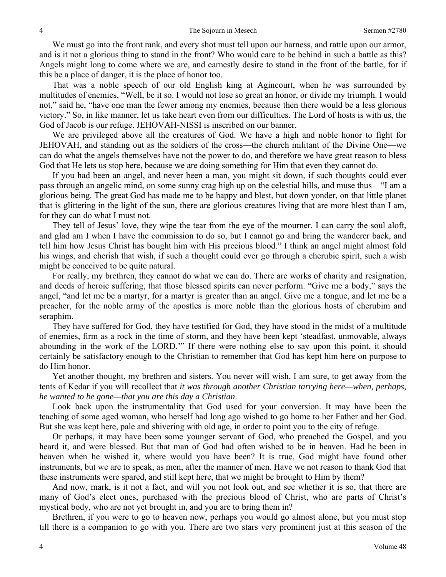We must go into the front rank, and every shot must tell upon our harness, and rattle upon our armor, and is it not a glorious thing to stand in the front? Who would care to be behind in such a battle as this? Angels might long to come where we are, and earnestly desire to stand in the front of the battle, for if this be a place of danger, it is the place of honor too.

That was a noble speech of our old English king at Agincourt, when he was surrounded by multitudes of enemies, "Well, be it so. I would not lose so great an honor, or divide my triumph. I would not," said he, "have one man the fewer among my enemies, because then there would be a less glorious victory." So, in like manner, let us take heart even from our difficulties. The Lord of hosts is with us, the God of Jacob is our refuge. JEHOVAH-NISSI is inscribed on our banner.

We are privileged above all the creatures of God. We have a high and noble honor to fight for JEHOVAH, and standing out as the soldiers of the cross—the church militant of the Divine One—we can do what the angels themselves have not the power to do, and therefore we have great reason to bless God that He lets us stop here, because we are doing something for Him that even they cannot do.

If you had been an angel, and never been a man, you might sit down, if such thoughts could ever pass through an angelic mind, on some sunny crag high up on the celestial hills, and muse thus—"I am a glorious being. The great God has made me to be happy and blest, but down yonder, on that little planet that is glittering in the light of the sun, there are glorious creatures living that are more blest than I am, for they can do what I must not.

They tell of Jesus' love, they wipe the tear from the eye of the mourner. I can carry the soul aloft, and glad am I when I have the commission to do so, but I cannot go and bring the wanderer back, and tell him how Jesus Christ has bought him with His precious blood." I think an angel might almost fold his wings, and cherish that wish, if such a thought could ever go through a cherubic spirit, such a wish might be conceived to be quite natural.

For really, my brethren, they cannot do what we can do. There are works of charity and resignation, and deeds of heroic suffering, that those blessed spirits can never perform. "Give me a body," says the angel, "and let me be a martyr, for a martyr is greater than an angel. Give me a tongue, and let me be a preacher, for the noble army of the apostles is more noble than the glorious hosts of cherubim and seraphim.

They have suffered for God, they have testified for God, they have stood in the midst of a multitude of enemies, firm as a rock in the time of storm, and they have been kept 'steadfast, unmovable, always abounding in the work of the LORD.'" If there were nothing else to say upon this point, it should certainly be satisfactory enough to the Christian to remember that God has kept him here on purpose to do Him honor.

Yet another thought, my brethren and sisters. You never will wish, I am sure, to get away from the tents of Kedar if you will recollect that *it was through another Christian tarrying here—when, perhaps, he wanted to be gone—that you are this day a Christian*.

Look back upon the instrumentality that God used for your conversion. It may have been the teaching of some aged woman, who herself had long ago wished to go home to her Father and her God. But she was kept here, pale and shivering with old age, in order to point you to the city of refuge.

Or perhaps, it may have been some younger servant of God, who preached the Gospel, and you heard it, and were blessed. But that man of God had often wished to be in heaven. Had he been in heaven when he wished it, where would you have been? It is true, God might have found other instruments, but we are to speak, as men, after the manner of men. Have we not reason to thank God that these instruments were spared, and still kept here, that we might be brought to Him by them?

And now, mark, is it not a fact, and will you not look out, and see whether it is so, that there are many of God's elect ones, purchased with the precious blood of Christ, who are parts of Christ's mystical body, who are not yet brought in, and you are to bring them in?

Brethren, if you were to go to heaven now, perhaps you would go almost alone, but you must stop till there is a companion to go with you. There are two stars very prominent just at this season of the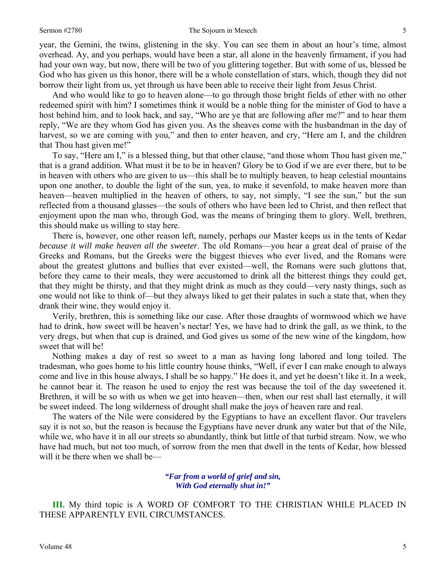#### Sermon #2780 5

year, the Gemini, the twins, glistening in the sky. You can see them in about an hour's time, almost overhead. Ay, and you perhaps, would have been a star, all alone in the heavenly firmament, if you had had your own way, but now, there will be two of you glittering together. But with some of us, blessed be God who has given us this honor, there will be a whole constellation of stars, which, though they did not borrow their light from us, yet through us have been able to receive their light from Jesus Christ.

And who would like to go to heaven alone—to go through those bright fields of ether with no other redeemed spirit with him? I sometimes think it would be a noble thing for the minister of God to have a host behind him, and to look back, and say, "Who are ye that are following after me?" and to hear them reply, "We are they whom God has given you. As the sheaves come with the husbandman in the day of harvest, so we are coming with you," and then to enter heaven, and cry, "Here am I, and the children that Thou hast given me!"

To say, "Here am I," is a blessed thing, but that other clause, "and those whom Thou hast given me," that is a grand addition. What must it be to be in heaven? Glory be to God if we are ever there, but to be in heaven with others who are given to us—this shall be to multiply heaven, to heap celestial mountains upon one another, to double the light of the sun, yea, to make it sevenfold, to make heaven more than heaven—heaven multiplied in the heaven of others, to say, not simply, "I see the sun," but the sun reflected from a thousand glasses—the souls of others who have been led to Christ, and then reflect that enjoyment upon the man who, through God, was the means of bringing them to glory. Well, brethren, this should make us willing to stay here.

There is, however, one other reason left, namely, perhaps our Master keeps us in the tents of Kedar *because it will make heaven all the sweeter*. The old Romans—you hear a great deal of praise of the Greeks and Romans, but the Greeks were the biggest thieves who ever lived, and the Romans were about the greatest gluttons and bullies that ever existed—well, the Romans were such gluttons that, before they came to their meals, they were accustomed to drink all the bitterest things they could get, that they might be thirsty, and that they might drink as much as they could—very nasty things, such as one would not like to think of—but they always liked to get their palates in such a state that, when they drank their wine, they would enjoy it.

Verily, brethren, this is something like our case. After those draughts of wormwood which we have had to drink, how sweet will be heaven's nectar! Yes, we have had to drink the gall, as we think, to the very dregs, but when that cup is drained, and God gives us some of the new wine of the kingdom, how sweet that will be!

Nothing makes a day of rest so sweet to a man as having long labored and long toiled. The tradesman, who goes home to his little country house thinks, "Well, if ever I can make enough to always come and live in this house always, I shall be so happy." He does it, and yet he doesn't like it. In a week, he cannot bear it. The reason he used to enjoy the rest was because the toil of the day sweetened it. Brethren, it will be so with us when we get into heaven—then, when our rest shall last eternally, it will be sweet indeed. The long wilderness of drought shall make the joys of heaven rare and real.

The waters of the Nile were considered by the Egyptians to have an excellent flavor. Our travelers say it is not so, but the reason is because the Egyptians have never drunk any water but that of the Nile, while we, who have it in all our streets so abundantly, think but little of that turbid stream. Now, we who have had much, but not too much, of sorrow from the men that dwell in the tents of Kedar, how blessed will it be there when we shall be—

> *"Far from a world of grief and sin, With God eternally shut in!"*

**III.** My third topic is A WORD OF COMFORT TO THE CHRISTIAN WHILE PLACED IN THESE APPARENTLY EVIL CIRCUMSTANCES.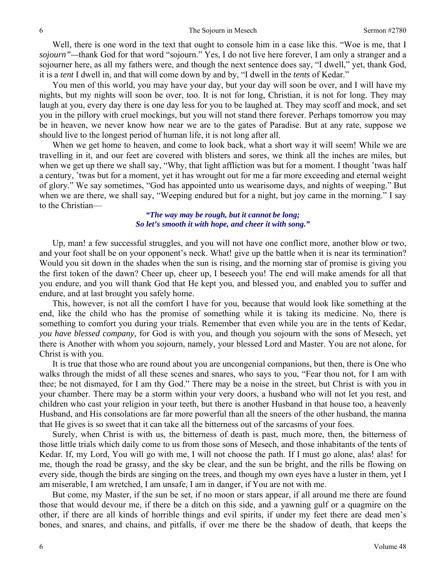Well, there is one word in the text that ought to console him in a case like this. "Woe is me, that I *sojourn"—*thank God for that word "sojourn." Yes, I do not live here forever, I am only a stranger and a sojourner here, as all my fathers were, and though the next sentence does say, "I dwell," yet, thank God, it is a *tent* I dwell in, and that will come down by and by, "I dwell in the *tents* of Kedar."

You men of this world, you may have your day, but your day will soon be over, and I will have my nights, but my nights will soon be over, too. It is not for long, Christian, it is not for long. They may laugh at you, every day there is one day less for you to be laughed at. They may scoff and mock, and set you in the pillory with cruel mockings, but you will not stand there forever. Perhaps tomorrow you may be in heaven, we never know how near we are to the gates of Paradise. But at any rate, suppose we should live to the longest period of human life, it is not long after all.

When we get home to heaven, and come to look back, what a short way it will seem! While we are travelling in it, and our feet are covered with blisters and sores, we think all the inches are miles, but when we get up there we shall say, "Why, that light affliction was but for a moment. I thought 'twas half a century, 'twas but for a moment, yet it has wrought out for me a far more exceeding and eternal weight of glory." We say sometimes, "God has appointed unto us wearisome days, and nights of weeping." But when we are there, we shall say, "Weeping endured but for a night, but joy came in the morning." I say to the Christian—

#### *"The way may be rough, but it cannot be long; So let's smooth it with hope, and cheer it with song."*

Up, man! a few successful struggles, and you will not have one conflict more, another blow or two, and your foot shall be on your opponent's neck. What! give up the battle when it is near its termination? Would you sit down in the shades when the sun is rising, and the morning star of promise is giving you the first token of the dawn? Cheer up, cheer up, I beseech you! The end will make amends for all that you endure, and you will thank God that He kept you, and blessed you, and enabled you to suffer and endure, and at last brought you safely home.

This, however, is not all the comfort I have for you, because that would look like something at the end, like the child who has the promise of something while it is taking its medicine. No, there is something to comfort you during your trials. Remember that even while you are in the tents of Kedar, *you have blessed company,* for God is with you, and though you sojourn with the sons of Mesech, yet there is Another with whom you sojourn, namely, your blessed Lord and Master. You are not alone, for Christ is with you.

It is true that those who are round about you are uncongenial companions, but then, there is One who walks through the midst of all these scenes and snares, who says to you, "Fear thou not, for I am with thee; be not dismayed, for I am thy God." There may be a noise in the street, but Christ is with you in your chamber. There may be a storm within your very doors, a husband who will not let you rest, and children who cast your religion in your teeth, but there is another Husband in that house too, a heavenly Husband, and His consolations are far more powerful than all the sneers of the other husband, the manna that He gives is so sweet that it can take all the bitterness out of the sarcasms of your foes.

Surely, when Christ is with us, the bitterness of death is past, much more, then, the bitterness of those little trials which daily come to us from those sons of Mesech, and those inhabitants of the tents of Kedar. If, my Lord, You will go with me, I will not choose the path. If I must go alone, alas! alas! for me, though the road be grassy, and the sky be clear, and the sun be bright, and the rills be flowing on every side, though the birds are singing on the trees, and though my own eyes have a luster in them, yet I am miserable, I am wretched, I am unsafe, I am in danger, if You are not with me.

But come, my Master, if the sun be set, if no moon or stars appear, if all around me there are found those that would devour me, if there be a ditch on this side, and a yawning gulf or a quagmire on the other, if there are all kinds of horrible things and evil spirits, if under my feet there are dead men's bones, and snares, and chains, and pitfalls, if over me there be the shadow of death, that keeps the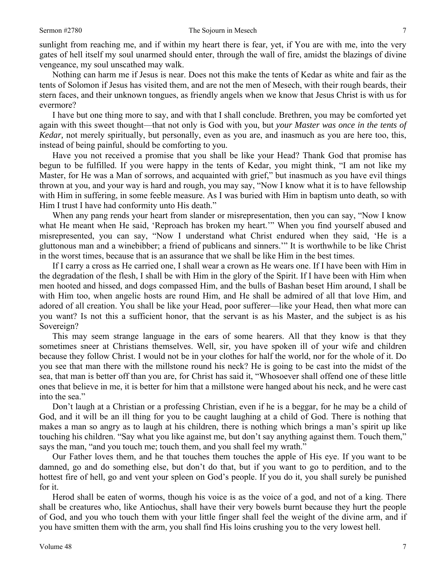sunlight from reaching me, and if within my heart there is fear, yet, if You are with me, into the very gates of hell itself my soul unarmed should enter, through the wall of fire, amidst the blazings of divine vengeance, my soul unscathed may walk.

Nothing can harm me if Jesus is near. Does not this make the tents of Kedar as white and fair as the tents of Solomon if Jesus has visited them, and are not the men of Mesech, with their rough beards, their stern faces, and their unknown tongues, as friendly angels when we know that Jesus Christ is with us for evermore?

I have but one thing more to say, and with that I shall conclude. Brethren, you may be comforted yet again with this sweet thought—that not only is God with you, but *your Master was once in the tents of Kedar,* not merely spiritually, but personally, even as you are, and inasmuch as you are here too, this, instead of being painful, should be comforting to you.

Have you not received a promise that you shall be like your Head? Thank God that promise has begun to be fulfilled. If you were happy in the tents of Kedar, you might think, "I am not like my Master, for He was a Man of sorrows, and acquainted with grief," but inasmuch as you have evil things thrown at you, and your way is hard and rough, you may say, "Now I know what it is to have fellowship with Him in suffering, in some feeble measure. As I was buried with Him in baptism unto death, so with Him I trust I have had conformity unto His death."

When any pang rends your heart from slander or misrepresentation, then you can say, "Now I know what He meant when He said, 'Reproach has broken my heart.'" When you find yourself abused and misrepresented, you can say, "Now I understand what Christ endured when they said, 'He is a gluttonous man and a winebibber; a friend of publicans and sinners.'" It is worthwhile to be like Christ in the worst times, because that is an assurance that we shall be like Him in the best times.

If I carry a cross as He carried one, I shall wear a crown as He wears one. If I have been with Him in the degradation of the flesh, I shall be with Him in the glory of the Spirit. If I have been with Him when men hooted and hissed, and dogs compassed Him, and the bulls of Bashan beset Him around, I shall be with Him too, when angelic hosts are round Him, and He shall be admired of all that love Him, and adored of all creation. You shall be like your Head, poor sufferer—like your Head, then what more can you want? Is not this a sufficient honor, that the servant is as his Master, and the subject is as his Sovereign?

This may seem strange language in the ears of some hearers. All that they know is that they sometimes sneer at Christians themselves. Well, sir, you have spoken ill of your wife and children because they follow Christ. I would not be in your clothes for half the world, nor for the whole of it. Do you see that man there with the millstone round his neck? He is going to be cast into the midst of the sea, that man is better off than you are, for Christ has said it, "Whosoever shall offend one of these little ones that believe in me, it is better for him that a millstone were hanged about his neck, and he were cast into the sea."

Don't laugh at a Christian or a professing Christian, even if he is a beggar, for he may be a child of God, and it will be an ill thing for you to be caught laughing at a child of God. There is nothing that makes a man so angry as to laugh at his children, there is nothing which brings a man's spirit up like touching his children. "Say what you like against me, but don't say anything against them. Touch them," says the man, "and you touch me; touch them, and you shall feel my wrath."

Our Father loves them, and he that touches them touches the apple of His eye. If you want to be damned, go and do something else, but don't do that, but if you want to go to perdition, and to the hottest fire of hell, go and vent your spleen on God's people. If you do it, you shall surely be punished for it.

Herod shall be eaten of worms, though his voice is as the voice of a god, and not of a king. There shall be creatures who, like Antiochus, shall have their very bowels burnt because they hurt the people of God, and you who touch them with your little finger shall feel the weight of the divine arm, and if you have smitten them with the arm, you shall find His loins crushing you to the very lowest hell.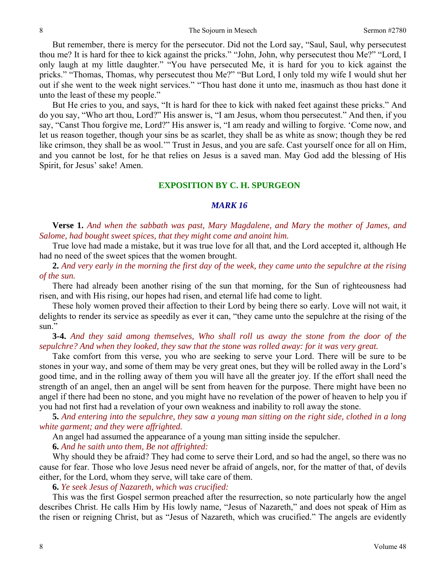But remember, there is mercy for the persecutor. Did not the Lord say, "Saul, Saul, why persecutest thou me? It is hard for thee to kick against the pricks." "John, John, why persecutest thou Me?" "Lord, I only laugh at my little daughter." "You have persecuted Me, it is hard for you to kick against the pricks." "Thomas, Thomas, why persecutest thou Me?" "But Lord, I only told my wife I would shut her out if she went to the week night services." "Thou hast done it unto me, inasmuch as thou hast done it unto the least of these my people."

But He cries to you, and says, "It is hard for thee to kick with naked feet against these pricks." And do you say, "Who art thou, Lord?" His answer is, "I am Jesus, whom thou persecutest." And then, if you say, "Canst Thou forgive me, Lord?" His answer is, "I am ready and willing to forgive. 'Come now, and let us reason together, though your sins be as scarlet, they shall be as white as snow; though they be red like crimson, they shall be as wool.'" Trust in Jesus, and you are safe. Cast yourself once for all on Him, and you cannot be lost, for he that relies on Jesus is a saved man. May God add the blessing of His Spirit, for Jesus' sake! Amen.

### **EXPOSITION BY C. H. SPURGEON**

#### *MARK 16*

**Verse 1.** *And when the sabbath was past, Mary Magdalene, and Mary the mother of James, and Salome, had bought sweet spices, that they might come and anoint him.* 

True love had made a mistake, but it was true love for all that, and the Lord accepted it, although He had no need of the sweet spices that the women brought.

**2.** *And very early in the morning the first day of the week, they came unto the sepulchre at the rising of the sun.* 

There had already been another rising of the sun that morning, for the Sun of righteousness had risen, and with His rising, our hopes had risen, and eternal life had come to light.

These holy women proved their affection to their Lord by being there so early. Love will not wait, it delights to render its service as speedily as ever it can, "they came unto the sepulchre at the rising of the sun."

**3-4.** *And they said among themselves, Who shall roll us away the stone from the door of the sepulchre? And when they looked, they saw that the stone was rolled away: for it was very great.* 

Take comfort from this verse, you who are seeking to serve your Lord. There will be sure to be stones in your way, and some of them may be very great ones, but they will be rolled away in the Lord's good time, and in the rolling away of them you will have all the greater joy. If the effort shall need the strength of an angel, then an angel will be sent from heaven for the purpose. There might have been no angel if there had been no stone, and you might have no revelation of the power of heaven to help you if you had not first had a revelation of your own weakness and inability to roll away the stone.

**5.** *And entering into the sepulchre, they saw a young man sitting on the right side, clothed in a long white garment; and they were affrighted.* 

An angel had assumed the appearance of a young man sitting inside the sepulcher.

**6.** *And he saith unto them, Be not affrighted:* 

Why should they be afraid? They had come to serve their Lord, and so had the angel, so there was no cause for fear. Those who love Jesus need never be afraid of angels, nor, for the matter of that, of devils either, for the Lord, whom they serve, will take care of them.

**6.** *Ye seek Jesus of Nazareth, which was crucified:* 

This was the first Gospel sermon preached after the resurrection, so note particularly how the angel describes Christ. He calls Him by His lowly name, "Jesus of Nazareth," and does not speak of Him as the risen or reigning Christ, but as "Jesus of Nazareth, which was crucified." The angels are evidently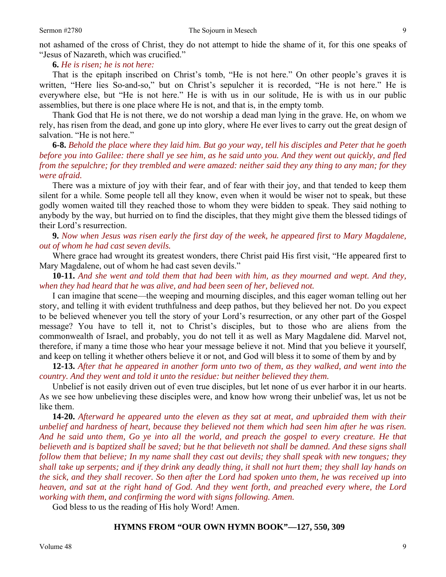not ashamed of the cross of Christ, they do not attempt to hide the shame of it, for this one speaks of "Jesus of Nazareth, which was crucified."

#### **6.** *He is risen; he is not here:*

That is the epitaph inscribed on Christ's tomb, "He is not here." On other people's graves it is written, "Here lies So-and-so," but on Christ's sepulcher it is recorded, "He is not here." He is everywhere else, but "He is not here." He is with us in our solitude, He is with us in our public assemblies, but there is one place where He is not, and that is, in the empty tomb.

Thank God that He is not there, we do not worship a dead man lying in the grave. He, on whom we rely, has risen from the dead, and gone up into glory, where He ever lives to carry out the great design of salvation. "He is not here."

**6-8.** *Behold the place where they laid him. But go your way, tell his disciples and Peter that he goeth before you into Galilee: there shall ye see him, as he said unto you. And they went out quickly, and fled from the sepulchre; for they trembled and were amazed: neither said they any thing to any man; for they were afraid.* 

There was a mixture of joy with their fear, and of fear with their joy, and that tended to keep them silent for a while. Some people tell all they know, even when it would be wiser not to speak, but these godly women waited till they reached those to whom they were bidden to speak. They said nothing to anybody by the way, but hurried on to find the disciples, that they might give them the blessed tidings of their Lord's resurrection.

### **9.** *Now when Jesus was risen early the first day of the week, he appeared first to Mary Magdalene, out of whom he had cast seven devils.*

Where grace had wrought its greatest wonders, there Christ paid His first visit, "He appeared first to Mary Magdalene, out of whom he had cast seven devils."

### **10-11.** *And she went and told them that had been with him, as they mourned and wept. And they, when they had heard that he was alive, and had been seen of her, believed not.*

I can imagine that scene—the weeping and mourning disciples, and this eager woman telling out her story, and telling it with evident truthfulness and deep pathos, but they believed her not. Do you expect to be believed whenever you tell the story of your Lord's resurrection, or any other part of the Gospel message? You have to tell it, not to Christ's disciples, but to those who are aliens from the commonwealth of Israel, and probably, you do not tell it as well as Mary Magdalene did. Marvel not, therefore, if many a time those who hear your message believe it not. Mind that you believe it yourself, and keep on telling it whether others believe it or not, and God will bless it to some of them by and by

**12-13.** *After that he appeared in another form unto two of them, as they walked, and went into the country. And they went and told it unto the residue: but neither believed they them.* 

Unbelief is not easily driven out of even true disciples, but let none of us ever harbor it in our hearts. As we see how unbelieving these disciples were, and know how wrong their unbelief was, let us not be like them.

**14-20.** *Afterward he appeared unto the eleven as they sat at meat, and upbraided them with their unbelief and hardness of heart, because they believed not them which had seen him after he was risen. And he said unto them, Go ye into all the world, and preach the gospel to every creature. He that believeth and is baptized shall be saved; but he that believeth not shall be damned. And these signs shall follow them that believe; In my name shall they cast out devils; they shall speak with new tongues; they shall take up serpents; and if they drink any deadly thing, it shall not hurt them; they shall lay hands on the sick, and they shall recover. So then after the Lord had spoken unto them, he was received up into heaven, and sat at the right hand of God. And they went forth, and preached every where, the Lord working with them, and confirming the word with signs following. Amen.* 

God bless to us the reading of His holy Word! Amen.

#### **HYMNS FROM "OUR OWN HYMN BOOK"—127, 550, 309**